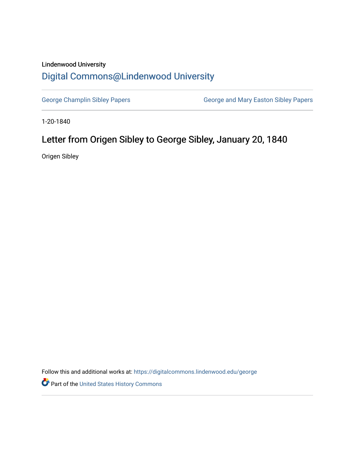## Lindenwood University

## [Digital Commons@Lindenwood University](https://digitalcommons.lindenwood.edu/)

[George Champlin Sibley Papers](https://digitalcommons.lindenwood.edu/george) **George and Mary Easton Sibley Papers** George and Mary Easton Sibley Papers

1-20-1840

## Letter from Origen Sibley to George Sibley, January 20, 1840

Origen Sibley

Follow this and additional works at: [https://digitalcommons.lindenwood.edu/george](https://digitalcommons.lindenwood.edu/george?utm_source=digitalcommons.lindenwood.edu%2Fgeorge%2F215&utm_medium=PDF&utm_campaign=PDFCoverPages)

Part of the [United States History Commons](http://network.bepress.com/hgg/discipline/495?utm_source=digitalcommons.lindenwood.edu%2Fgeorge%2F215&utm_medium=PDF&utm_campaign=PDFCoverPages)